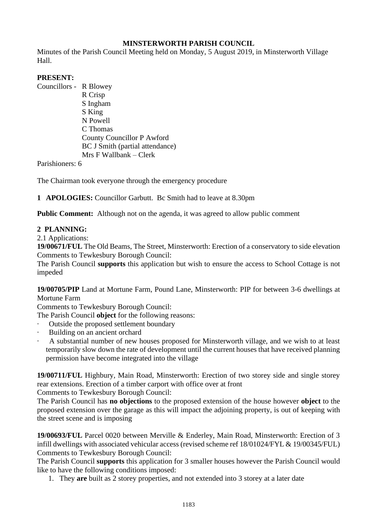# **MINSTERWORTH PARISH COUNCIL**

Minutes of the Parish Council Meeting held on Monday, 5 August 2019, in Minsterworth Village Hall.

## **PRESENT:**

Councillors - R Blowey R Crisp S Ingham S King N Powell C Thomas County Councillor P Awford BC J Smith (partial attendance) Mrs F Wallbank – Clerk

Parishioners: 6

The Chairman took everyone through the emergency procedure

**1 APOLOGIES:** Councillor Garbutt. Bc Smith had to leave at 8.30pm

**Public Comment:** Although not on the agenda, it was agreed to allow public comment

## **2 PLANNING:**

### 2.1 Applications:

**19/00671/FUL** The Old Beams, The Street, Minsterworth: Erection of a conservatory to side elevation Comments to Tewkesbury Borough Council:

The Parish Council **supports** this application but wish to ensure the access to School Cottage is not impeded

**19/00705/PIP** Land at Mortune Farm, Pound Lane, Minsterworth: PIP for between 3-6 dwellings at Mortune Farm

Comments to Tewkesbury Borough Council:

The Parish Council **object** for the following reasons:

Outside the proposed settlement boundary

- · Building on an ancient orchard
- · A substantial number of new houses proposed for Minsterworth village, and we wish to at least temporarily slow down the rate of development until the current houses that have received planning permission have become integrated into the village

**19/00711/FUL** Highbury, Main Road, Minsterworth: Erection of two storey side and single storey rear extensions. Erection of a timber carport with office over at front

Comments to Tewkesbury Borough Council:

The Parish Council has **no objections** to the proposed extension of the house however **object** to the proposed extension over the garage as this will impact the adjoining property, is out of keeping with the street scene and is imposing

**19/00693/FUL** Parcel 0020 between Merville & Enderley, Main Road, Minsterworth: Erection of 3 infill dwellings with associated vehicular access (revised scheme ref 18/01024/FYL & 19/00345/FUL) Comments to Tewkesbury Borough Council:

The Parish Council **supports** this application for 3 smaller houses however the Parish Council would like to have the following conditions imposed:

1. They **are** built as 2 storey properties, and not extended into 3 storey at a later date